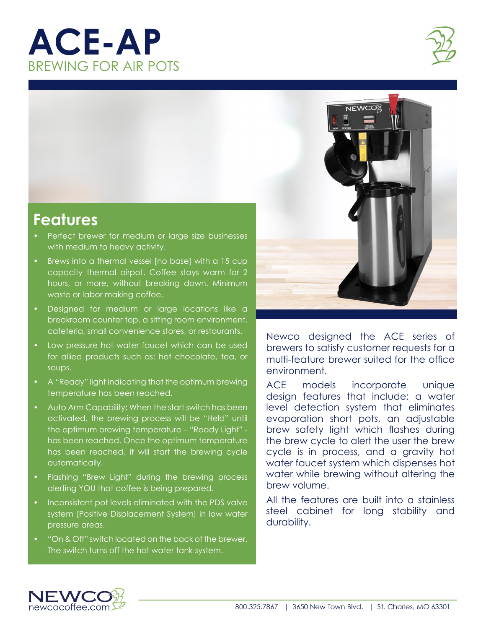## **ACE-AP** BREWING FOR AIR POTS





## **Features**

- Perfect brewer for medium or large size businesses with medium to heavy activity.
- Brews into a thermal vessel [no base] with a 15 cup capacity thermal airpot. Coffee stays warm for 2 hours, or more, without breaking down. Minimum waste or labor making coffee.
- Designed for medium or large locations like a breakroom counter top, a sitting room environment, cafeteria, small convenience stores, or restaurants.
- Low pressure hot water faucet which can be used for allied products such as: hot chocolate, tea, or soups.
- A "Ready" light indicating that the optimum brewing temperature has been reached.
- Auto Arm Capability: When the start switch has been activated, the brewing process will be "Held" until the optimum brewing temperature – "Ready Light" has been reached. Once the optimum temperature has been reached, it will start the brewing cycle automatically.
- Flashing "Brew Light" during the brewing process alerting YOU that coffee is being prepared.
- Inconsistent pot levels eliminated with the PDS valve system [Positive Displacement System] in low water pressure areas.
- "On & Off" switch located on the back of the brewer. The switch turns off the hot water tank system.



Newco designed the ACE series of brewers to satisfy customer requests for a multi-feature brewer suited for the office environment.

ACE models incorporate unique design features that include: a water level detection system that eliminates evaporation short pots, an adjustable brew safety light which flashes during the brew cycle to alert the user the brew cycle is in process, and a gravity hot water faucet system which dispenses hot water while brewing without altering the brew volume.

All the features are built into a stainless steel cabinet for long stability and durability.